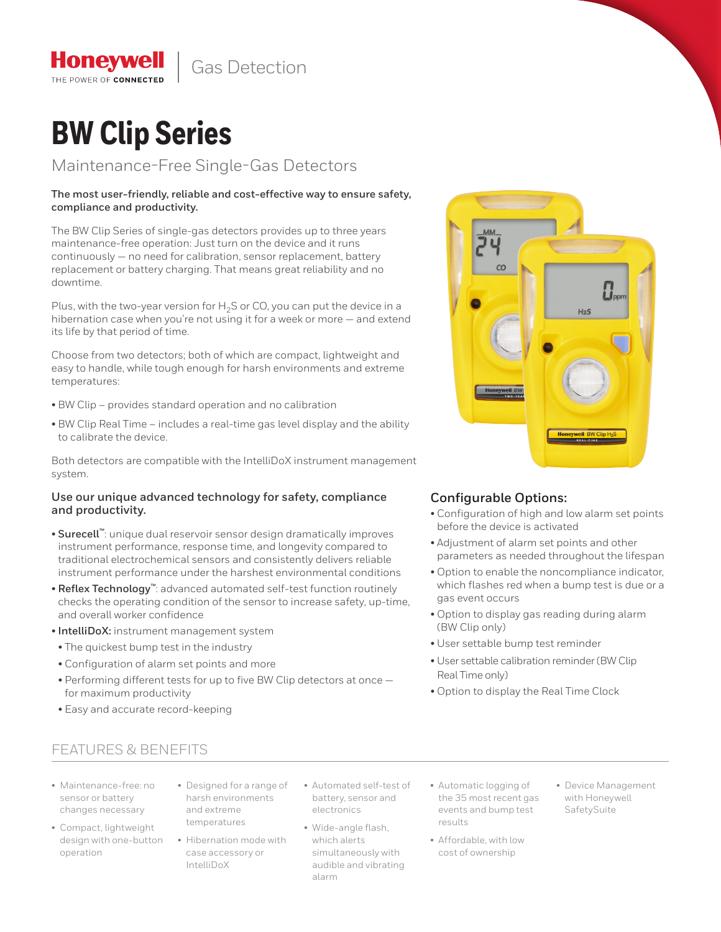Gas Detection

# **BW Clip Series**

**Honeywel** THE POWER OF CONNECTED

Maintenance-Free Single-Gas Detectors

# **The most user-friendly, reliable and cost-effective way to ensure safety, compliance and productivity.**

The BW Clip Series of single-gas detectors provides up to three years maintenance-free operation: Just turn on the device and it runs continuously — no need for calibration, sensor replacement, battery replacement or battery charging. That means great reliability and no downtime.

Plus, with the two-year version for  $H_2S$  or CO, you can put the device in a hibernation case when you're not using it for a week or more — and extend its life by that period of time.

Choose from two detectors; both of which are compact, lightweight and easy to handle, while tough enough for harsh environments and extreme temperatures:

- BW Clip provides standard operation and no calibration
- BW Clip Real Time includes a real-time gas level display and the ability to calibrate the device.

Both detectors are compatible with the IntelliDoX instrument management system.

# **Use our unique advanced technology for safety, compliance and productivity.**

- **Surecell™**: unique dual reservoir sensor design dramatically improves instrument performance, response time, and longevity compared to traditional electrochemical sensors and consistently delivers reliable instrument performance under the harshest environmental conditions
- **Reflex Technology™**: advanced automated self-test function routinely checks the operating condition of the sensor to increase safety, up-time, and overall worker confidence
- **IntelliDoX:** instrument management system
- The quickest bump test in the industry
- Configuration of alarm set points and more
- Performing different tests for up to five BW Clip detectors at once for maximum productivity
- Easy and accurate record-keeping



# **Configurable Options:**

- Configuration of high and low alarm set points before the device is activated
- Adjustment of alarm set points and other parameters as needed throughout the lifespan
- Option to enable the noncompliance indicator, which flashes red when a bump test is due or a gas event occurs
- Option to display gas reading during alarm (BW Clip only)
- User settable bump test reminder
- User settable calibration reminder (BW Clip Real Time only)
- Option to display the Real Time Clock

# FEATURES & BENEFITS

- Maintenance-free: no sensor or battery changes necessary
- Compact, lightweight design with one-button operation
- Designed for a range of harsh environments and extreme temperatures
- Hibernation mode with case accessory or IntelliDoX
- Automated self-test of battery, sensor and electronics
- Wide-angle flash, which alerts simultaneously with audible and vibrating alarm
- Automatic logging of the 35 most recent gas events and bump test results
- Affordable, with low cost of ownership
- Device Management with Honeywell SafetySuite